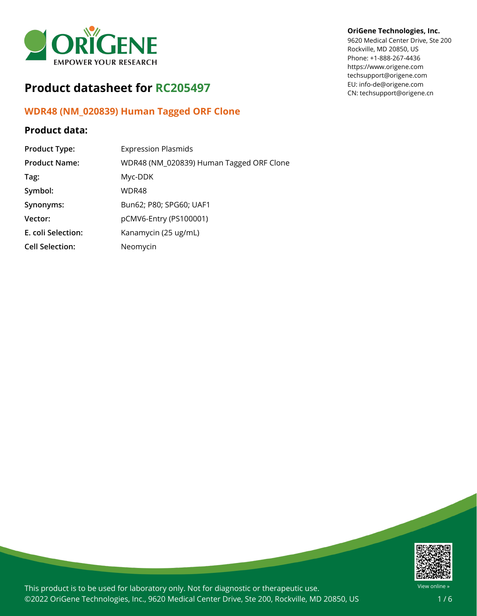

# **Product datasheet for RC205497**

# **WDR48 (NM\_020839) Human Tagged ORF Clone**

### **Product data:**

| <b>Product Type:</b>   | <b>Expression Plasmids</b>               |
|------------------------|------------------------------------------|
| <b>Product Name:</b>   | WDR48 (NM_020839) Human Tagged ORF Clone |
| Tag:                   | Myc-DDK                                  |
| Symbol:                | WDR48                                    |
| Synonyms:              | Bun62; P80; SPG60; UAF1                  |
| Vector:                | pCMV6-Entry (PS100001)                   |
| E. coli Selection:     | Kanamycin (25 ug/mL)                     |
| <b>Cell Selection:</b> | Neomycin                                 |

### **OriGene Technologies, Inc.**

9620 Medical Center Drive, Ste 200 Rockville, MD 20850, US Phone: +1-888-267-4436 https://www.origene.com techsupport@origene.com EU: info-de@origene.com CN: techsupport@origene.cn



This product is to be used for laboratory only. Not for diagnostic or therapeutic use. ©2022 OriGene Technologies, Inc., 9620 Medical Center Drive, Ste 200, Rockville, MD 20850, US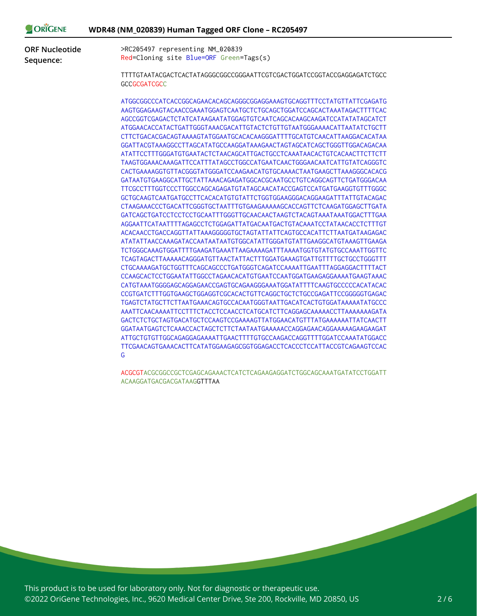| <b>ORIGENE</b>        | WDR48 (NM_020839) Human Tagged ORF Clone - RC205497                                                                                                                                                                                                                                                                                                                                                                                                                                                                                                                                                                                                                                                                                                                                                                                                                                                                                                                                                                                                                                                                                                                                                                          |
|-----------------------|------------------------------------------------------------------------------------------------------------------------------------------------------------------------------------------------------------------------------------------------------------------------------------------------------------------------------------------------------------------------------------------------------------------------------------------------------------------------------------------------------------------------------------------------------------------------------------------------------------------------------------------------------------------------------------------------------------------------------------------------------------------------------------------------------------------------------------------------------------------------------------------------------------------------------------------------------------------------------------------------------------------------------------------------------------------------------------------------------------------------------------------------------------------------------------------------------------------------------|
| <b>ORF Nucleotide</b> | >RC205497 representing NM_020839                                                                                                                                                                                                                                                                                                                                                                                                                                                                                                                                                                                                                                                                                                                                                                                                                                                                                                                                                                                                                                                                                                                                                                                             |
| Sequence:             | Red=Cloning site Blue=ORF Green=Tags(s)                                                                                                                                                                                                                                                                                                                                                                                                                                                                                                                                                                                                                                                                                                                                                                                                                                                                                                                                                                                                                                                                                                                                                                                      |
|                       | TTTTGTAATACGACTCACTATAGGGCGGCCGGGAATTCGTCGACTGGATCCGGTACCGAGGAGATCTGCC<br><b>GCCGCGATCGCC</b>                                                                                                                                                                                                                                                                                                                                                                                                                                                                                                                                                                                                                                                                                                                                                                                                                                                                                                                                                                                                                                                                                                                                |
|                       | ATGGCGGCCCATCACCGGCAGAACACAGCAGGGCGGAGGAAAGTGCAGGTTTCCTATGTTATTCGAGATG<br>AAGTGGAGAAGTACAACCGAAATGGAGTCAATGCTCTGCAGCTGGATCCAGCACTAAATAGACTTTTCAC<br>ATGGAACACCATACTGATTGGGTAAACGACATTGTACTCTGTTGTAATGGGAAAACATTAATATCTGCTT<br>CTTCTGACACGACAGTAAAAGTATGGAATGCACACAAGGGATTTTGCATGTCAACATTAAGGACACATAA<br>ATATTCCTTTGGGATGTGAATACTCTAACAGCATTGACTGCCTCAAATAACACTGTCACAACTTCTTCTT<br>TAAGTGGAAACAAAGATTCCATTTATAGCCTGGCCATGAATCAACTGGGAACAATCATTGTATCAGGGTC<br>CACTGAAAAGGTGTTACGGGTATGGGATCCAAGAACATGTGCAAAACTAATGAAGCTTAAAGGGCACACG<br>GATAATGTGAAGGCATTGCTATTAAACAGAGATGGCACGCAATGCCTGTCAGGCAGTTCTGATGGGACAA<br>TTCGCCTTTGGTCCCTTGGCCAGCAGAGATGTATAGCAACATACCGAGTCCATGATGAAGGTGTTTGGGC<br>GCTGCAAGTCAATGATGCCTTCACACATGTGTATTCTGGTGGAAGGGACAGGAAGATTTATTGTACAGAC<br>CTAAGAAACCCTGACATTCGGGTGCTAATTTGTGAAGAAAAAGCACCAGTTCTCAAGATGGAGCTTGATA<br>AGGAATTCATAATTTTAGAGCCTCTGGAGATTATGACAATGACTGTACAAATCCTATAACACCTCTTTGT<br>ACACAACCTGACCAGGTTATTAAAGGGGGTGCTAGTATTATTCAGTGCCACATTCTTAATGATAAGAGAC<br>ATATATTAACCAAAGATACCAATAATAATGTGGCATATTGGGATGTATTGAAGGCATGTAAAGTTGAAGA<br>TCTGGGCAAAGTGGATTTTGAAGATGAAATTAAGAAAAGATTTAAAATGGTGTATGTGCCAAATTGGTTC<br>TCAGTAGACTTAAAAACAGGGATGTTAACTATTACTTTGGATGAAAGTGATTGTTTTGCTGCCTGGGTTT |
|                       | CTGCAAAAGATGCTGGTTTCAGCAGCCCTGATGGGTCAGATCCAAAATTGAATTTAGGAGGACTTTTACT<br>CCAAGCACTCCTGGAATATTGGCCTAGAACACATGTGAATCCAATGGATGAAGAGGAAAATGAAGTAAAC<br>CATGTAAATGGGGAGCAGGAGAACCGAGTGCAGAAGGGAAATGGATATTTTCAAGTGCCCCCACATACAC<br>CCGTGATCTTTGGTGAAGCTGGAGGTCGCACACTGTTCAGGCTGCTCTGCCGAGATTCCGGGGGTGAGAC<br>TGAGTCTATGCTTCTTAATGAAACAGTGCCACAATGGGTAATTGACATCACTGTGGATAAAAATATGCCC<br>AAATTCAACAAAATTCCTTTCTACCTCCAACCTCATGCATCTTCAGGAGCAAAAACCTTAAAAAAAGATA<br>GACTCTCTGCTAGTGACATGCTCCAAGTCCGAAAAGTTATGGAACATGTTTATGAAAAAATTATCAACTT<br>GGATAATGAGTCTCAAACCACTAGCTCTTCTAATAATGAAAAACCAGGAGAACAGGAAAAAGAAGAAGAT<br>ATTGCTGTGTTGGCAGAGGAGAAAATTGAACTTTTGTGCCAAGACCAGGTTTTGGATCCAAATATGGACC<br>TTCGAACAGTGAAACACTTCATATGGAAGAGCGGTGGAGACCTCACCCTCCATTACCGTCAGAAGTCCAC<br>G                                                                                                                                                                                                                                                                                                                                                                                                                                                        |

ACGCGTACGCGGCCGCTCGAGCAGAAACTCATCTCAGAAGAGGATCTGGCAGCAAATGATATCCTGGATT ACAAGGATGACGACGATAAGGTTTAA

This product is to be used for laboratory only. Not for diagnostic or therapeutic use. ©2022 OriGene Technologies, Inc., 9620 Medical Center Drive, Ste 200, Rockville, MD 20850, US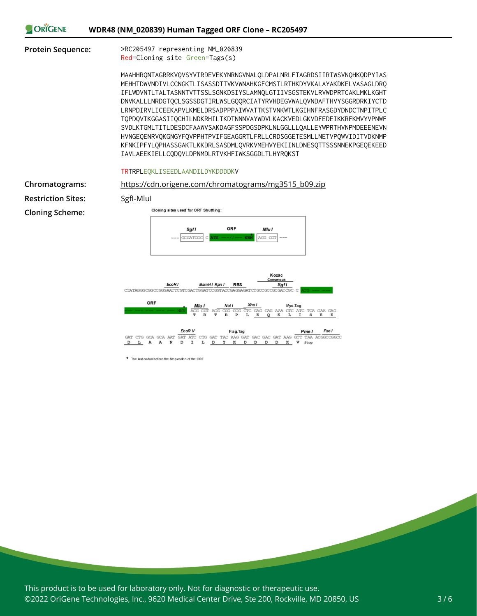|  | ORIGENE | WDR48 (NM_020839) Human Tagged ORF Clone - RC205497 |
|--|---------|-----------------------------------------------------|
|--|---------|-----------------------------------------------------|

**Protein Sequence:** >RC205497 representing NM\_020839 Red=Cloning site Green=Tags(s)

> MAAHHRQNTAGRRKVQVSYVIRDEVEKYNRNGVNALQLDPALNRLFTAGRDSIIRIWSVNQHKQDPYIAS MEHHTDWVNDIVLCCNGKTLISASSDTTVKVWNAHKGFCMSTLRTHKDYVKALAYAKDKELVASAGLDRQ IFLWDVNTLTALTASNNTVTTSSLSGNKDSIYSLAMNQLGTIIVSGSTEKVLRVWDPRTCAKLMKLKGHT DNVKALLLNRDGTQCLSGSSDGTIRLWSLGQQRCIATYRVHDEGVWALQVNDAFTHVYSGGRDRKIYCTD LRNPDIRVLICEEKAPVLKMELDRSADPPPAIWVATTKSTVNKWTLKGIHNFRASGDYDNDCTNPITPLC TQPDQVIKGGASIIQCHILNDKRHILTKDTNNNVAYWDVLKACKVEDLGKVDFEDEIKKRFKMVYVPNWF SVDLKTGMLTITLDESDCFAAWVSAKDAGFSSPDGSDPKLNLGGLLLQALLEYWPRTHVNPMDEEENEVN HVNGEQENRVQKGNGYFQVPPHTPVIFGEAGGRTLFRLLCRDSGGETESMLLNETVPQWVIDITVDKNMP KFNKIPFYLQPHASSGAKTLKKDRLSASDMLQVRKVMEHVYEKIINLDNESQTTSSSNNEKPGEQEKEED IAVLAEEKIELLCQDQVLDPNMDLRTVKHFIWKSGGDLTLHYRQKST

### TRTRPLEQKLISEEDLAANDILDYKDDDDKV

**Restriction Sites:** SgfI-MluI **Cloning Scheme:**



\* The last codon before the Stop codon of the ORF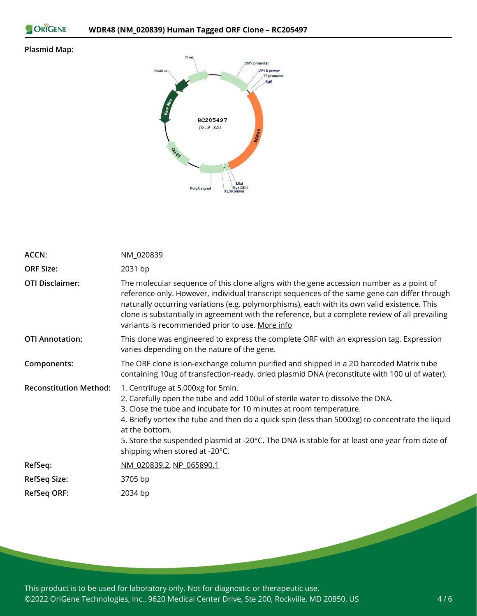```
ORIGENE
```
### **Plasmid Map:**



| ACCN:                         | NM_020839                                                                                                                                                                                                                                                                                                                                                                                                                                           |
|-------------------------------|-----------------------------------------------------------------------------------------------------------------------------------------------------------------------------------------------------------------------------------------------------------------------------------------------------------------------------------------------------------------------------------------------------------------------------------------------------|
| <b>ORF Size:</b>              | 2031 bp                                                                                                                                                                                                                                                                                                                                                                                                                                             |
| <b>OTI Disclaimer:</b>        | The molecular sequence of this clone aligns with the gene accession number as a point of<br>reference only. However, individual transcript sequences of the same gene can differ through<br>naturally occurring variations (e.g. polymorphisms), each with its own valid existence. This<br>clone is substantially in agreement with the reference, but a complete review of all prevailing<br>variants is recommended prior to use. More info      |
| <b>OTI Annotation:</b>        | This clone was engineered to express the complete ORF with an expression tag. Expression<br>varies depending on the nature of the gene.                                                                                                                                                                                                                                                                                                             |
| Components:                   | The ORF clone is ion-exchange column purified and shipped in a 2D barcoded Matrix tube<br>containing 10ug of transfection-ready, dried plasmid DNA (reconstitute with 100 ul of water).                                                                                                                                                                                                                                                             |
| <b>Reconstitution Method:</b> | 1. Centrifuge at 5,000xg for 5min.<br>2. Carefully open the tube and add 100ul of sterile water to dissolve the DNA.<br>3. Close the tube and incubate for 10 minutes at room temperature.<br>4. Briefly vortex the tube and then do a quick spin (less than 5000xg) to concentrate the liquid<br>at the bottom.<br>5. Store the suspended plasmid at -20°C. The DNA is stable for at least one year from date of<br>shipping when stored at -20°C. |
| RefSeq:                       | NM 020839.2, NP 065890.1                                                                                                                                                                                                                                                                                                                                                                                                                            |
| RefSeq Size:                  | 3705 bp                                                                                                                                                                                                                                                                                                                                                                                                                                             |
| <b>RefSeq ORF:</b>            | 2034 bp                                                                                                                                                                                                                                                                                                                                                                                                                                             |

This product is to be used for laboratory only. Not for diagnostic or therapeutic use. ©2022 OriGene Technologies, Inc., 9620 Medical Center Drive, Ste 200, Rockville, MD 20850, US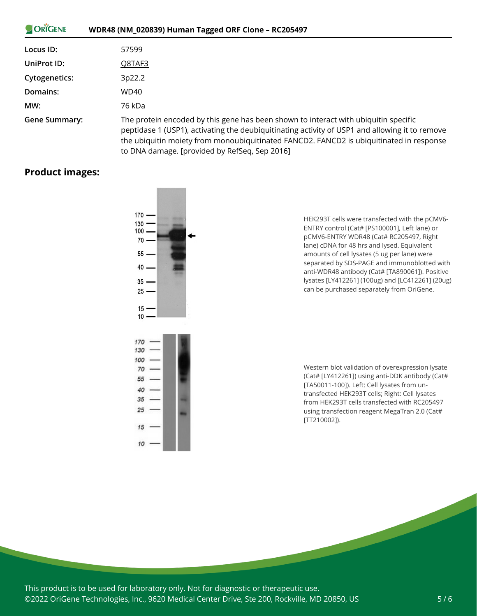| ORIGENE              | WDR48 (NM_020839) Human Tagged ORF Clone - RC205497                                                                                                                                                                                                                                                                               |
|----------------------|-----------------------------------------------------------------------------------------------------------------------------------------------------------------------------------------------------------------------------------------------------------------------------------------------------------------------------------|
| Locus ID:            | 57599                                                                                                                                                                                                                                                                                                                             |
| UniProt ID:          | Q8TAF3                                                                                                                                                                                                                                                                                                                            |
| <b>Cytogenetics:</b> | 3p22.2                                                                                                                                                                                                                                                                                                                            |
| Domains:             | <b>WD40</b>                                                                                                                                                                                                                                                                                                                       |
| MW:                  | 76 kDa                                                                                                                                                                                                                                                                                                                            |
| Gene Summary:        | The protein encoded by this gene has been shown to interact with ubiquitin specific<br>peptidase 1 (USP1), activating the deubiquitinating activity of USP1 and allowing it to remove<br>the ubiquitin moiety from monoubiquitinated FANCD2. FANCD2 is ubiquitinated in response<br>to DNA damage. [provided by RefSeq, Sep 2016] |

## **Product images:**



HEK293T cells were transfected with the pCMV6- ENTRY control (Cat# [PS100001], Left lane) or pCMV6-ENTRY WDR48 (Cat# RC205497, Right lane) cDNA for 48 hrs and lysed. Equivalent amounts of cell lysates (5 ug per lane) were separated by SDS-PAGE and immunoblotted with anti-WDR48 antibody (Cat# [TA890061]). Positive lysates [LY412261] (100ug) and [LC412261] (20ug) can be purchased separately from OriGene.

Western blot validation of overexpression lysate (Cat# [LY412261]) using anti-DDK antibody (Cat# [TA50011-100]). Left: Cell lysates from untransfected HEK293T cells; Right: Cell lysates from HEK293T cells transfected with RC205497 using transfection reagent MegaTran 2.0 (Cat# [TT210002]).

This product is to be used for laboratory only. Not for diagnostic or therapeutic use. ©2022 OriGene Technologies, Inc., 9620 Medical Center Drive, Ste 200, Rockville, MD 20850, US